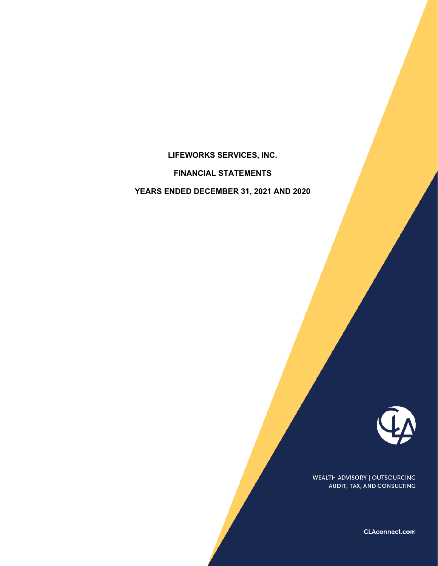# **LIFEWORKS SERVICES, INC.**

### **FINANCIAL STATEMENTS**

**YEARS ENDED DECEMBER 31, 2021 AND 2020** 



WEALTH ADVISORY | OUTSOURCING AUDIT, TAX, AND CONSULTING

CLAconnect.com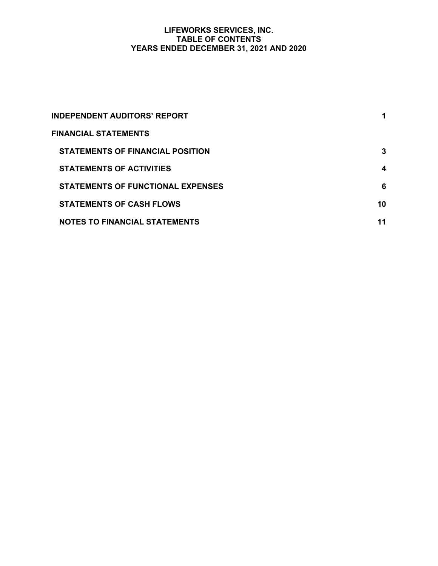### **LIFEWORKS SERVICES, INC. TABLE OF CONTENTS YEARS ENDED DECEMBER 31, 2021 AND 2020**

| <b>INDEPENDENT AUDITORS' REPORT</b>      | 1  |
|------------------------------------------|----|
| <b>FINANCIAL STATEMENTS</b>              |    |
| <b>STATEMENTS OF FINANCIAL POSITION</b>  | 3  |
| <b>STATEMENTS OF ACTIVITIES</b>          | 4  |
| <b>STATEMENTS OF FUNCTIONAL EXPENSES</b> | 6  |
| <b>STATEMENTS OF CASH FLOWS</b>          | 10 |
| <b>NOTES TO FINANCIAL STATEMENTS</b>     | 11 |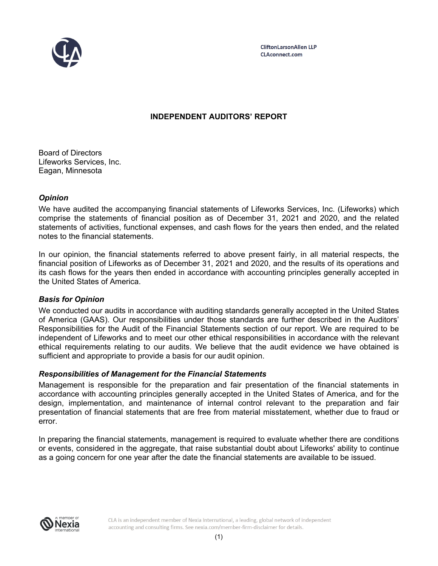

**CliftonLarsonAllen LLP CLAconnect.com** 

# **INDEPENDENT AUDITORS' REPORT**

Board of Directors Lifeworks Services, Inc. Eagan, Minnesota

### *Opinion*

We have audited the accompanying financial statements of Lifeworks Services, Inc. (Lifeworks) which comprise the statements of financial position as of December 31, 2021 and 2020, and the related statements of activities, functional expenses, and cash flows for the years then ended, and the related notes to the financial statements.

In our opinion, the financial statements referred to above present fairly, in all material respects, the financial position of Lifeworks as of December 31, 2021 and 2020, and the results of its operations and its cash flows for the years then ended in accordance with accounting principles generally accepted in the United States of America.

### *Basis for Opinion*

We conducted our audits in accordance with auditing standards generally accepted in the United States of America (GAAS). Our responsibilities under those standards are further described in the Auditors' Responsibilities for the Audit of the Financial Statements section of our report. We are required to be independent of Lifeworks and to meet our other ethical responsibilities in accordance with the relevant ethical requirements relating to our audits. We believe that the audit evidence we have obtained is sufficient and appropriate to provide a basis for our audit opinion.

### *Responsibilities of Management for the Financial Statements*

Management is responsible for the preparation and fair presentation of the financial statements in accordance with accounting principles generally accepted in the United States of America, and for the design, implementation, and maintenance of internal control relevant to the preparation and fair presentation of financial statements that are free from material misstatement, whether due to fraud or error.

In preparing the financial statements, management is required to evaluate whether there are conditions or events, considered in the aggregate, that raise substantial doubt about Lifeworks' ability to continue as a going concern for one year after the date the financial statements are available to be issued.

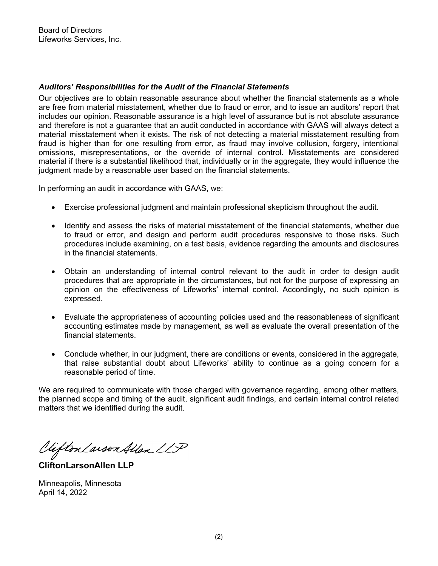### *Auditors' Responsibilities for the Audit of the Financial Statements*

Our objectives are to obtain reasonable assurance about whether the financial statements as a whole are free from material misstatement, whether due to fraud or error, and to issue an auditors' report that includes our opinion. Reasonable assurance is a high level of assurance but is not absolute assurance and therefore is not a guarantee that an audit conducted in accordance with GAAS will always detect a material misstatement when it exists. The risk of not detecting a material misstatement resulting from fraud is higher than for one resulting from error, as fraud may involve collusion, forgery, intentional omissions, misrepresentations, or the override of internal control. Misstatements are considered material if there is a substantial likelihood that, individually or in the aggregate, they would influence the judgment made by a reasonable user based on the financial statements.

In performing an audit in accordance with GAAS, we:

- Exercise professional judgment and maintain professional skepticism throughout the audit.
- Identify and assess the risks of material misstatement of the financial statements, whether due to fraud or error, and design and perform audit procedures responsive to those risks. Such procedures include examining, on a test basis, evidence regarding the amounts and disclosures in the financial statements.
- Obtain an understanding of internal control relevant to the audit in order to design audit procedures that are appropriate in the circumstances, but not for the purpose of expressing an opinion on the effectiveness of Lifeworks' internal control. Accordingly, no such opinion is expressed.
- Evaluate the appropriateness of accounting policies used and the reasonableness of significant accounting estimates made by management, as well as evaluate the overall presentation of the financial statements.
- Conclude whether, in our judgment, there are conditions or events, considered in the aggregate, that raise substantial doubt about Lifeworks' ability to continue as a going concern for a reasonable period of time.

We are required to communicate with those charged with governance regarding, among other matters, the planned scope and timing of the audit, significant audit findings, and certain internal control related matters that we identified during the audit.

Viifton Larson Allen LLP

**CliftonLarsonAllen LLP** 

Minneapolis, Minnesota April 14, 2022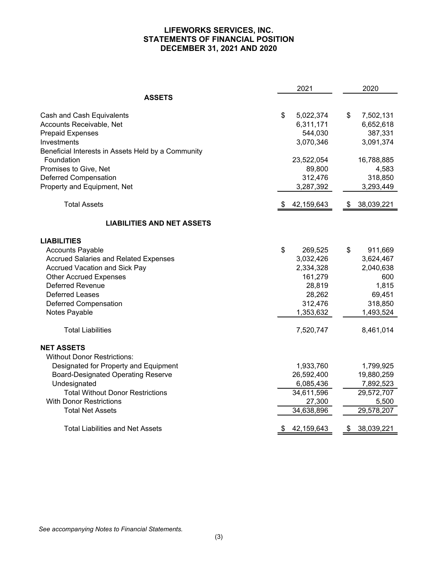### **LIFEWORKS SERVICES, INC. STATEMENTS OF FINANCIAL POSITION DECEMBER 31, 2021 AND 2020**

|                                                    | 2021             | 2020             |
|----------------------------------------------------|------------------|------------------|
| <b>ASSETS</b>                                      |                  |                  |
| Cash and Cash Equivalents                          | \$<br>5,022,374  | \$<br>7,502,131  |
| Accounts Receivable, Net                           | 6,311,171        | 6,652,618        |
| <b>Prepaid Expenses</b>                            | 544,030          | 387,331          |
| Investments                                        | 3,070,346        | 3,091,374        |
| Beneficial Interests in Assets Held by a Community |                  |                  |
| Foundation                                         | 23,522,054       | 16,788,885       |
| Promises to Give, Net                              | 89,800           | 4,583            |
| <b>Deferred Compensation</b>                       | 312,476          | 318,850          |
| Property and Equipment, Net                        | 3,287,392        | 3,293,449        |
| <b>Total Assets</b>                                | 42,159,643       | 38,039,221<br>\$ |
| <b>LIABILITIES AND NET ASSETS</b>                  |                  |                  |
| <b>LIABILITIES</b>                                 |                  |                  |
| <b>Accounts Payable</b>                            | \$<br>269,525    | \$<br>911,669    |
| <b>Accrued Salaries and Related Expenses</b>       | 3,032,426        | 3,624,467        |
| <b>Accrued Vacation and Sick Pay</b>               | 2,334,328        | 2,040,638        |
| <b>Other Accrued Expenses</b>                      | 161,279          | 600              |
| <b>Deferred Revenue</b>                            | 28,819           | 1,815            |
| <b>Deferred Leases</b>                             | 28,262           | 69,451           |
| <b>Deferred Compensation</b>                       | 312,476          | 318,850          |
| Notes Payable                                      | 1,353,632        | 1,493,524        |
| <b>Total Liabilities</b>                           | 7,520,747        | 8,461,014        |
| <b>NET ASSETS</b>                                  |                  |                  |
| <b>Without Donor Restrictions:</b>                 |                  |                  |
| Designated for Property and Equipment              | 1,933,760        | 1,799,925        |
| <b>Board-Designated Operating Reserve</b>          | 26,592,400       | 19,880,259       |
| Undesignated                                       | 6,085,436        | 7,892,523        |
| <b>Total Without Donor Restrictions</b>            | 34,611,596       | 29,572,707       |
| <b>With Donor Restrictions</b>                     | 27,300           | 5,500            |
| <b>Total Net Assets</b>                            | 34,638,896       | 29,578,207       |
| <b>Total Liabilities and Net Assets</b>            | 42,159,643<br>\$ | 38,039,221<br>\$ |

*See accompanying Notes to Financial Statements.*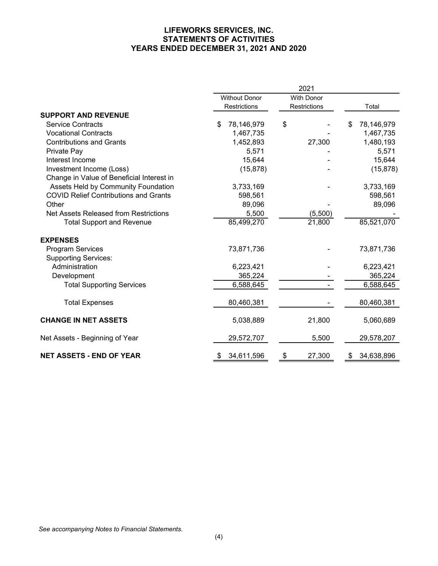### **LIFEWORKS SERVICES, INC. STATEMENTS OF ACTIVITIES YEARS ENDED DECEMBER 31, 2021 AND 2020**

|                                              |    |                      |    | 2021         |                  |
|----------------------------------------------|----|----------------------|----|--------------|------------------|
|                                              |    | <b>Without Donor</b> |    | With Donor   |                  |
|                                              |    | Restrictions         |    | Restrictions | Total            |
| <b>SUPPORT AND REVENUE</b>                   |    |                      |    |              |                  |
| <b>Service Contracts</b>                     | \$ | 78,146,979           | \$ |              | \$<br>78,146,979 |
| <b>Vocational Contracts</b>                  |    | 1,467,735            |    |              | 1,467,735        |
| <b>Contributions and Grants</b>              |    | 1,452,893            |    | 27,300       | 1,480,193        |
| Private Pay                                  |    | 5,571                |    |              | 5,571            |
| Interest Income                              |    | 15,644               |    |              | 15,644           |
| Investment Income (Loss)                     |    | (15, 878)            |    |              | (15, 878)        |
| Change in Value of Beneficial Interest in    |    |                      |    |              |                  |
| Assets Held by Community Foundation          |    | 3,733,169            |    |              | 3,733,169        |
| <b>COVID Relief Contributions and Grants</b> |    | 598,561              |    |              | 598,561          |
| Other                                        |    | 89,096               |    |              | 89,096           |
| Net Assets Released from Restrictions        |    | 5,500                |    | (5,500)      |                  |
| <b>Total Support and Revenue</b>             |    | 85,499,270           |    | 21,800       | 85,521,070       |
| <b>EXPENSES</b>                              |    |                      |    |              |                  |
| <b>Program Services</b>                      |    | 73,871,736           |    |              | 73,871,736       |
| <b>Supporting Services:</b>                  |    |                      |    |              |                  |
| Administration                               |    | 6,223,421            |    |              | 6,223,421        |
| Development                                  |    | 365,224              |    |              | 365,224          |
| <b>Total Supporting Services</b>             |    | 6,588,645            |    |              | 6,588,645        |
| <b>Total Expenses</b>                        |    | 80,460,381           |    |              | 80,460,381       |
| <b>CHANGE IN NET ASSETS</b>                  |    | 5,038,889            |    | 21,800       | 5,060,689        |
| Net Assets - Beginning of Year               |    | 29,572,707           |    | 5,500        | 29,578,207       |
| <b>NET ASSETS - END OF YEAR</b>              | S  | 34,611,596           | \$ | 27,300       | \$<br>34,638,896 |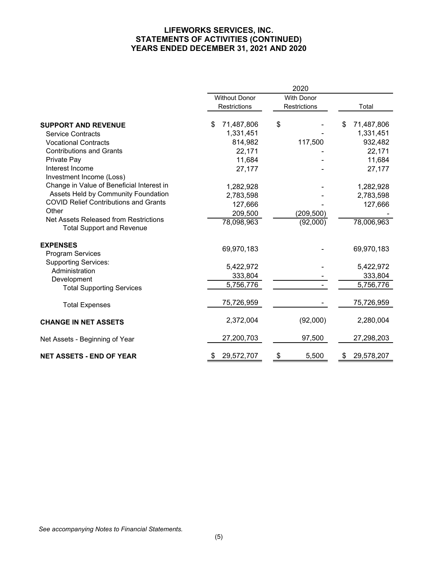### **LIFEWORKS SERVICES, INC. STATEMENTS OF ACTIVITIES (CONTINUED) YEARS ENDED DECEMBER 31, 2021 AND 2020**

|                                                                           |                      | 2020              |                  |
|---------------------------------------------------------------------------|----------------------|-------------------|------------------|
|                                                                           | <b>Without Donor</b> | <b>With Donor</b> |                  |
|                                                                           | Restrictions         | Restrictions      | Total            |
| <b>SUPPORT AND REVENUE</b>                                                | \$<br>71,487,806     | \$                | \$<br>71,487,806 |
| <b>Service Contracts</b>                                                  | 1,331,451            |                   | 1,331,451        |
| <b>Vocational Contracts</b>                                               | 814,982              | 117,500           | 932,482          |
| <b>Contributions and Grants</b>                                           | 22,171               |                   | 22,171           |
| Private Pay                                                               | 11,684               |                   | 11,684           |
| Interest Income                                                           | 27,177               |                   | 27,177           |
| Investment Income (Loss)                                                  |                      |                   |                  |
| Change in Value of Beneficial Interest in                                 | 1,282,928            |                   | 1,282,928        |
| Assets Held by Community Foundation                                       | 2,783,598            |                   | 2,783,598        |
| <b>COVID Relief Contributions and Grants</b>                              | 127,666              |                   | 127,666          |
| Other                                                                     | 209,500              | (209, 500)        |                  |
| Net Assets Released from Restrictions<br><b>Total Support and Revenue</b> | 78,098,963           | (92,000)          | 78,006,963       |
| <b>EXPENSES</b><br><b>Program Services</b>                                | 69,970,183           |                   | 69,970,183       |
| <b>Supporting Services:</b>                                               | 5,422,972            |                   | 5,422,972        |
| Administration                                                            | 333,804              |                   | 333,804          |
| Development<br><b>Total Supporting Services</b>                           | 5,756,776            |                   | 5,756,776        |
| <b>Total Expenses</b>                                                     | 75,726,959           |                   | 75,726,959       |
| <b>CHANGE IN NET ASSETS</b>                                               | 2,372,004            | (92,000)          | 2,280,004        |
| Net Assets - Beginning of Year                                            | 27,200,703           | 97,500            | 27,298,203       |
| <b>NET ASSETS - END OF YEAR</b>                                           | 29,572,707<br>\$     | \$<br>5,500       | 29,578,207<br>\$ |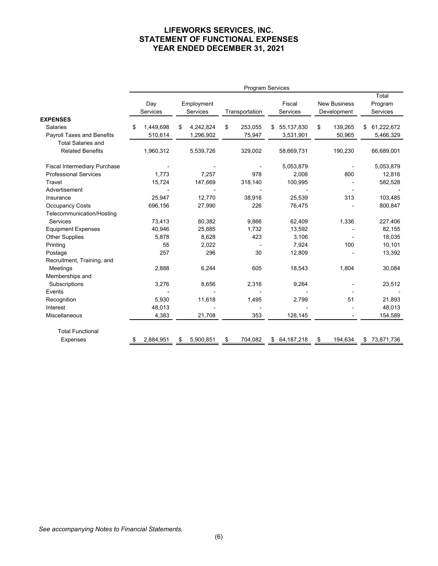### **LIFEWORKS SERVICES, INC. STATEMENT OF FUNCTIONAL EXPENSES YEAR ENDED DECEMBER 31, 2021**

|                                     | <b>Program Services</b> |    |            |    |                |    |              |    |                     |    |            |
|-------------------------------------|-------------------------|----|------------|----|----------------|----|--------------|----|---------------------|----|------------|
|                                     |                         |    |            |    |                |    |              |    |                     |    | Total      |
|                                     | Day                     |    | Employment |    |                |    | Fiscal       |    | <b>New Business</b> |    | Program    |
|                                     | Services                |    | Services   |    | Transportation |    | Services     |    | Development         |    | Services   |
| <b>EXPENSES</b>                     |                         |    |            |    |                |    |              |    |                     |    |            |
| <b>Salaries</b>                     | \$<br>1,449,698         | \$ | 4,242,824  | \$ | 253,055        | \$ | 55,137,830   | \$ | 139,265             | \$ | 61,222,672 |
| <b>Payroll Taxes and Benefits</b>   | 510,614                 |    | 1,296,902  |    | 75,947         |    | 3,531,901    |    | 50,965              |    | 5,466,329  |
| <b>Total Salaries and</b>           |                         |    |            |    |                |    |              |    |                     |    |            |
| <b>Related Benefits</b>             | 1,960,312               |    | 5,539,726  |    | 329,002        |    | 58,669,731   |    | 190,230             |    | 66,689,001 |
| <b>Fiscal Intermediary Purchase</b> |                         |    |            |    |                |    | 5,053,879    |    |                     |    | 5,053,879  |
| <b>Professional Services</b>        | 1,773                   |    | 7,257      |    | 978            |    | 2,008        |    | 800                 |    | 12,816     |
| Travel                              | 15,724                  |    | 147,669    |    | 318,140        |    | 100,995      |    |                     |    | 582,528    |
| Advertisement                       |                         |    |            |    |                |    |              |    |                     |    |            |
| Insurance                           | 25,947                  |    | 12,770     |    | 38,916         |    | 25,539       |    | 313                 |    | 103,485    |
| <b>Occupancy Costs</b>              | 696,156                 |    | 27,990     |    | 226            |    | 76,475       |    |                     |    | 800,847    |
| Telecommunication/Hosting           |                         |    |            |    |                |    |              |    |                     |    |            |
| Services                            | 73,413                  |    | 80,382     |    | 9,866          |    | 62,409       |    | 1,336               |    | 227,406    |
| <b>Equipment Expenses</b>           | 40,946                  |    | 25,885     |    | 1,732          |    | 13,592       |    |                     |    | 82,155     |
| <b>Other Supplies</b>               | 5,878                   |    | 8,628      |    | 423            |    | 3,106        |    |                     |    | 18,035     |
| Printing                            | 55                      |    | 2,022      |    |                |    | 7,924        |    | 100                 |    | 10,101     |
| Postage                             | 257                     |    | 296        |    | 30             |    | 12,809       |    |                     |    | 13,392     |
| Recruitment, Training, and          |                         |    |            |    |                |    |              |    |                     |    |            |
| Meetings                            | 2,888                   |    | 6,244      |    | 605            |    | 18,543       |    | 1,804               |    | 30,084     |
| Memberships and                     |                         |    |            |    |                |    |              |    |                     |    |            |
| Subscriptions                       | 3,276                   |    | 8,656      |    | 2,316          |    | 9,264        |    |                     |    | 23,512     |
| Events                              |                         |    |            |    |                |    |              |    |                     |    |            |
| Recognition                         | 5,930                   |    | 11,618     |    | 1,495          |    | 2,799        |    | 51                  |    | 21,893     |
| Interest                            | 48,013                  |    |            |    |                |    |              |    |                     |    | 48,013     |
| <b>Miscellaneous</b>                | 4,383                   |    | 21,708     |    | 353            |    | 128,145      |    |                     |    | 154,589    |
| <b>Total Functional</b>             |                         |    |            |    |                |    |              |    |                     |    |            |
| <b>Expenses</b>                     | 2,884,951               | S  | 5,900,851  | \$ | 704,082        |    | \$64,187,218 | \$ | 194,634             | \$ | 73,871,736 |
|                                     |                         |    |            |    |                |    |              |    |                     |    |            |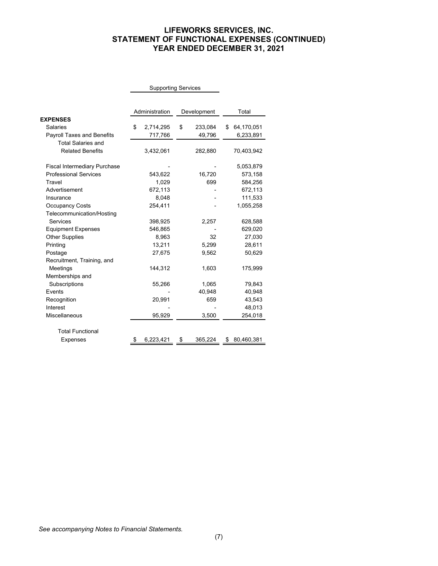### **LIFEWORKS SERVICES, INC. STATEMENT OF FUNCTIONAL EXPENSES (CONTINUED) YEAR ENDED DECEMBER 31, 2021**

|                                     |    | <b>Supporting Services</b> |    |             |   |            |
|-------------------------------------|----|----------------------------|----|-------------|---|------------|
|                                     |    |                            |    |             |   |            |
|                                     |    | Administration             |    | Development |   | Total      |
| <b>EXPENSES</b>                     |    |                            |    |             |   |            |
| Salaries                            | \$ | 2,714,295                  | \$ | 233,084     | S | 64,170,051 |
| <b>Payroll Taxes and Benefits</b>   |    | 717,766                    |    | 49,796      |   | 6,233,891  |
| <b>Total Salaries and</b>           |    |                            |    |             |   |            |
| <b>Related Benefits</b>             |    | 3,432,061                  |    | 282,880     |   | 70,403,942 |
| <b>Fiscal Intermediary Purchase</b> |    |                            |    |             |   | 5,053,879  |
| <b>Professional Services</b>        |    | 543,622                    |    | 16,720      |   | 573,158    |
| Travel                              |    | 1,029                      |    | 699         |   | 584,256    |
| Advertisement                       |    | 672,113                    |    |             |   | 672,113    |
| Insurance                           |    | 8,048                      |    |             |   | 111,533    |
| <b>Occupancy Costs</b>              |    | 254,411                    |    |             |   | 1,055,258  |
| Telecommunication/Hosting           |    |                            |    |             |   |            |
| Services                            |    | 398,925                    |    | 2,257       |   | 628,588    |
| <b>Equipment Expenses</b>           |    | 546,865                    |    |             |   | 629,020    |
| <b>Other Supplies</b>               |    | 8,963                      |    | 32          |   | 27,030     |
| Printing                            |    | 13,211                     |    | 5,299       |   | 28,611     |
| Postage                             |    | 27,675                     |    | 9,562       |   | 50,629     |
| Recruitment, Training, and          |    |                            |    |             |   |            |
| Meetings                            |    | 144,312                    |    | 1,603       |   | 175,999    |
| Memberships and                     |    |                            |    |             |   |            |
| Subscriptions                       |    | 55,266                     |    | 1,065       |   | 79,843     |
| Events                              |    |                            |    | 40,948      |   | 40,948     |
| Recognition                         |    | 20,991                     |    | 659         |   | 43,543     |
| Interest                            |    |                            |    |             |   | 48,013     |
| <b>Miscellaneous</b>                |    | 95,929                     |    | 3,500       |   | 254,018    |
| <b>Total Functional</b>             |    |                            |    |             |   |            |
| <b>Expenses</b>                     |    | 6,223,421                  | \$ | 365,224     | S | 80,460,381 |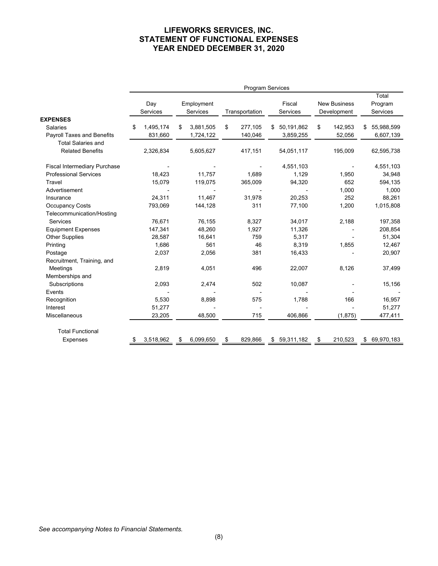### **LIFEWORKS SERVICES, INC. STATEMENT OF FUNCTIONAL EXPENSES YEAR ENDED DECEMBER 31, 2020**

|                                     | <b>Program Services</b> |    |            |    |                |     |            |    |                     |    |            |
|-------------------------------------|-------------------------|----|------------|----|----------------|-----|------------|----|---------------------|----|------------|
|                                     |                         |    |            |    |                |     |            |    |                     |    | Total      |
|                                     | Day                     |    | Employment |    |                |     | Fiscal     |    | <b>New Business</b> |    | Program    |
|                                     | Services                |    | Services   |    | Transportation |     | Services   |    | Development         |    | Services   |
| <b>EXPENSES</b>                     |                         |    |            |    |                |     |            |    |                     |    |            |
| <b>Salaries</b>                     | \$<br>1,495,174         | \$ | 3,881,505  | \$ | 277,105        | \$. | 50,191,862 | \$ | 142,953             | \$ | 55,988,599 |
| <b>Payroll Taxes and Benefits</b>   | 831,660                 |    | 1,724,122  |    | 140,046        |     | 3,859,255  |    | 52,056              |    | 6,607,139  |
| <b>Total Salaries and</b>           |                         |    |            |    |                |     |            |    |                     |    |            |
| <b>Related Benefits</b>             | 2,326,834               |    | 5,605,627  |    | 417,151        |     | 54,051,117 |    | 195,009             |    | 62,595,738 |
| <b>Fiscal Intermediary Purchase</b> |                         |    |            |    |                |     | 4,551,103  |    |                     |    | 4,551,103  |
| <b>Professional Services</b>        | 18,423                  |    | 11,757     |    | 1,689          |     | 1,129      |    | 1,950               |    | 34,948     |
| Travel                              | 15,079                  |    | 119,075    |    | 365,009        |     | 94,320     |    | 652                 |    | 594,135    |
| Advertisement                       |                         |    |            |    |                |     |            |    | 1,000               |    | 1,000      |
| Insurance                           | 24,311                  |    | 11,467     |    | 31,978         |     | 20,253     |    | 252                 |    | 88,261     |
| <b>Occupancy Costs</b>              | 793,069                 |    | 144,128    |    | 311            |     | 77,100     |    | 1,200               |    | 1,015,808  |
| Telecommunication/Hosting           |                         |    |            |    |                |     |            |    |                     |    |            |
| Services                            | 76,671                  |    | 76,155     |    | 8,327          |     | 34,017     |    | 2,188               |    | 197,358    |
| <b>Equipment Expenses</b>           | 147,341                 |    | 48,260     |    | 1,927          |     | 11,326     |    |                     |    | 208,854    |
| <b>Other Supplies</b>               | 28,587                  |    | 16,641     |    | 759            |     | 5,317      |    |                     |    | 51,304     |
| Printing                            | 1,686                   |    | 561        |    | 46             |     | 8,319      |    | 1,855               |    | 12,467     |
| Postage                             | 2,037                   |    | 2,056      |    | 381            |     | 16,433     |    |                     |    | 20,907     |
| Recruitment, Training, and          |                         |    |            |    |                |     |            |    |                     |    |            |
| Meetings                            | 2,819                   |    | 4,051      |    | 496            |     | 22,007     |    | 8,126               |    | 37,499     |
| Memberships and                     |                         |    |            |    |                |     |            |    |                     |    |            |
| Subscriptions                       | 2,093                   |    | 2,474      |    | 502            |     | 10,087     |    |                     |    | 15,156     |
| Events                              |                         |    |            |    |                |     |            |    |                     |    |            |
| Recognition                         | 5,530                   |    | 8,898      |    | 575            |     | 1,788      |    | 166                 |    | 16,957     |
| Interest                            | 51,277                  |    |            |    |                |     |            |    |                     |    | 51,277     |
| Miscellaneous                       | 23,205                  |    | 48,500     |    | 715            |     | 406,866    |    | (1, 875)            |    | 477,411    |
| <b>Total Functional</b>             |                         |    |            |    |                |     |            |    |                     |    |            |
| <b>Expenses</b>                     | 3,518,962               | \$ | 6,099,650  | \$ | 829,866        | \$  | 59,311,182 | S  | 210,523             | \$ | 69,970,183 |
|                                     |                         |    |            |    |                |     |            |    |                     |    |            |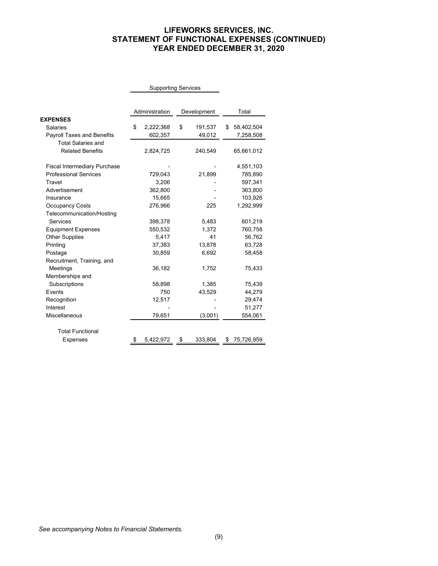### **LIFEWORKS SERVICES, INC. STATEMENT OF FUNCTIONAL EXPENSES (CONTINUED) YEAR ENDED DECEMBER 31, 2020**

|                                     |    | <b>Supporting Services</b> |    |             |                  |
|-------------------------------------|----|----------------------------|----|-------------|------------------|
|                                     |    |                            |    |             |                  |
|                                     |    | Administration             |    | Development | Total            |
| <b>EXPENSES</b>                     |    |                            |    |             |                  |
| Salaries                            | \$ | 2,222,368                  | \$ | 191,537     | \$<br>58,402,504 |
| Payroll Taxes and Benefits          |    | 602,357                    |    | 49,012      | 7,258,508        |
| <b>Total Salaries and</b>           |    |                            |    |             |                  |
| <b>Related Benefits</b>             |    | 2,824,725                  |    | 240,549     | 65,661,012       |
| <b>Fiscal Intermediary Purchase</b> |    |                            |    |             | 4,551,103        |
| <b>Professional Services</b>        |    | 729,043                    |    | 21,899      | 785,890          |
| Travel                              |    | 3,206                      |    |             | 597,341          |
| Advertisement                       |    | 362,800                    |    |             | 363,800          |
| Insurance                           |    | 15,665                     |    |             | 103,926          |
| <b>Occupancy Costs</b>              |    | 276,966                    |    | 225         | 1,292,999        |
| Telecommunication/Hosting           |    |                            |    |             |                  |
| Services                            |    | 398,378                    |    | 5,483       | 601,219          |
| <b>Equipment Expenses</b>           |    | 550,532                    |    | 1.372       | 760,758          |
| <b>Other Supplies</b>               |    | 5,417                      |    | 41          | 56,762           |
| Printing                            |    | 37,383                     |    | 13,878      | 63,728           |
| Postage                             |    | 30,859                     |    | 6,692       | 58,458           |
| Recruitment, Training, and          |    |                            |    |             |                  |
| Meetings                            |    | 36,182                     |    | 1,752       | 75,433           |
| Memberships and                     |    |                            |    |             |                  |
| Subscriptions                       |    | 58,898                     |    | 1,385       | 75,439           |
| Events                              |    | 750                        |    | 43,529      | 44,279           |
| Recognition                         |    | 12,517                     |    |             | 29,474           |
| Interest                            |    |                            |    |             | 51,277           |
| Miscellaneous                       |    | 79,651                     |    | (3,001)     | 554,061          |
| <b>Total Functional</b>             |    |                            |    |             |                  |
| Expenses                            | S  | 5,422,972                  | \$ | 333,804     | \$<br>75,726,959 |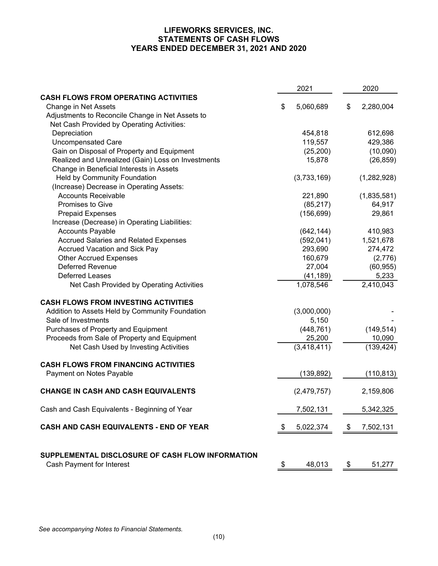### **LIFEWORKS SERVICES, INC. STATEMENTS OF CASH FLOWS YEARS ENDED DECEMBER 31, 2021 AND 2020**

|                                                                                      | 2021            | 2020            |
|--------------------------------------------------------------------------------------|-----------------|-----------------|
| <b>CASH FLOWS FROM OPERATING ACTIVITIES</b>                                          |                 |                 |
| Change in Net Assets                                                                 | \$<br>5,060,689 | \$<br>2,280,004 |
| Adjustments to Reconcile Change in Net Assets to                                     |                 |                 |
| Net Cash Provided by Operating Activities:                                           |                 |                 |
| Depreciation                                                                         | 454,818         | 612,698         |
| <b>Uncompensated Care</b>                                                            | 119,557         | 429,386         |
| Gain on Disposal of Property and Equipment                                           | (25, 200)       | (10,090)        |
| Realized and Unrealized (Gain) Loss on Investments                                   | 15,878          | (26, 859)       |
| Change in Beneficial Interests in Assets                                             |                 |                 |
| Held by Community Foundation                                                         | (3,733,169)     | (1,282,928)     |
| (Increase) Decrease in Operating Assets:                                             |                 |                 |
| <b>Accounts Receivable</b>                                                           | 221,890         | (1,835,581)     |
| <b>Promises to Give</b>                                                              | (85, 217)       | 64,917          |
| <b>Prepaid Expenses</b>                                                              | (156, 699)      | 29,861          |
| Increase (Decrease) in Operating Liabilities:                                        |                 |                 |
| <b>Accounts Payable</b>                                                              | (642, 144)      | 410,983         |
| <b>Accrued Salaries and Related Expenses</b>                                         | (592, 041)      | 1,521,678       |
| <b>Accrued Vacation and Sick Pay</b>                                                 | 293,690         | 274,472         |
| <b>Other Accrued Expenses</b>                                                        | 160,679         | (2,776)         |
| <b>Deferred Revenue</b>                                                              | 27,004          | (60, 955)       |
| <b>Deferred Leases</b>                                                               | (41, 189)       | 5,233           |
| Net Cash Provided by Operating Activities                                            | 1,078,546       | 2,410,043       |
| <b>CASH FLOWS FROM INVESTING ACTIVITIES</b>                                          |                 |                 |
| Addition to Assets Held by Community Foundation                                      | (3,000,000)     |                 |
| Sale of Investments                                                                  | 5,150           |                 |
| Purchases of Property and Equipment                                                  | (448, 761)      | (149, 514)      |
| Proceeds from Sale of Property and Equipment                                         | 25,200          | 10,090          |
| Net Cash Used by Investing Activities                                                | (3, 418, 411)   | (139, 424)      |
| <b>CASH FLOWS FROM FINANCING ACTIVITIES</b>                                          |                 |                 |
| Payment on Notes Payable                                                             | (139, 892)      | (110, 813)      |
| <b>CHANGE IN CASH AND CASH EQUIVALENTS</b>                                           | (2,479,757)     | 2,159,806       |
| Cash and Cash Equivalents - Beginning of Year                                        | 7,502,131       | 5,342,325       |
| CASH AND CASH EQUIVALENTS - END OF YEAR                                              | \$<br>5,022,374 | \$<br>7,502,131 |
| SUPPLEMENTAL DISCLOSURE OF CASH FLOW INFORMATION<br><b>Cash Payment for Interest</b> | \$<br>48,013    | \$<br>51,277    |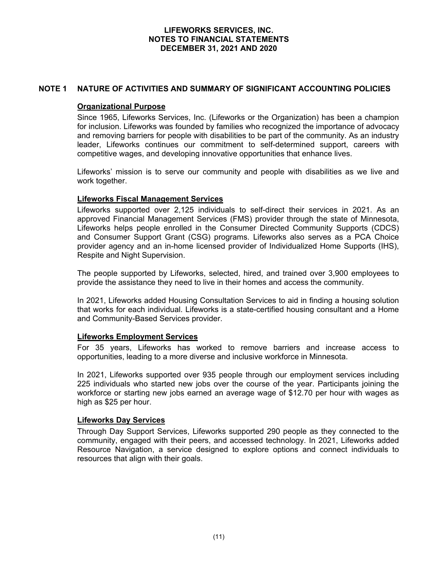### **NOTE 1 NATURE OF ACTIVITIES AND SUMMARY OF SIGNIFICANT ACCOUNTING POLICIES**

#### **Organizational Purpose**

Since 1965, Lifeworks Services, Inc. (Lifeworks or the Organization) has been a champion for inclusion. Lifeworks was founded by families who recognized the importance of advocacy and removing barriers for people with disabilities to be part of the community. As an industry leader, Lifeworks continues our commitment to self-determined support, careers with competitive wages, and developing innovative opportunities that enhance lives.

Lifeworks' mission is to serve our community and people with disabilities as we live and work together.

#### **Lifeworks Fiscal Management Services**

Lifeworks supported over 2,125 individuals to self-direct their services in 2021. As an approved Financial Management Services (FMS) provider through the state of Minnesota, Lifeworks helps people enrolled in the Consumer Directed Community Supports (CDCS) and Consumer Support Grant (CSG) programs. Lifeworks also serves as a PCA Choice provider agency and an in-home licensed provider of Individualized Home Supports (IHS), Respite and Night Supervision.

The people supported by Lifeworks, selected, hired, and trained over 3,900 employees to provide the assistance they need to live in their homes and access the community.

In 2021, Lifeworks added Housing Consultation Services to aid in finding a housing solution that works for each individual. Lifeworks is a state-certified housing consultant and a Home and Community-Based Services provider.

#### **Lifeworks Employment Services**

For 35 years, Lifeworks has worked to remove barriers and increase access to opportunities, leading to a more diverse and inclusive workforce in Minnesota.

In 2021, Lifeworks supported over 935 people through our employment services including 225 individuals who started new jobs over the course of the year. Participants joining the workforce or starting new jobs earned an average wage of \$12.70 per hour with wages as high as \$25 per hour.

#### **Lifeworks Day Services**

Through Day Support Services, Lifeworks supported 290 people as they connected to the community, engaged with their peers, and accessed technology. In 2021, Lifeworks added Resource Navigation, a service designed to explore options and connect individuals to resources that align with their goals.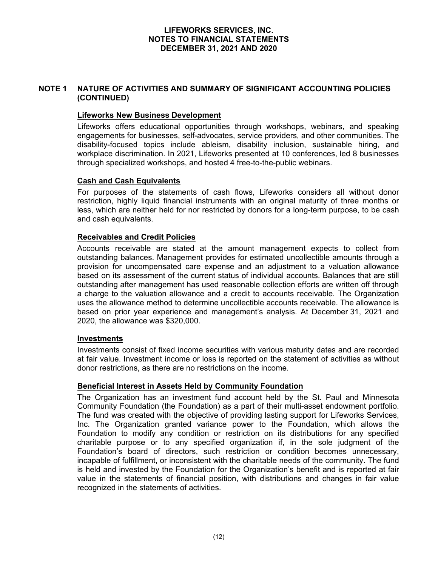### **NOTE 1 NATURE OF ACTIVITIES AND SUMMARY OF SIGNIFICANT ACCOUNTING POLICIES (CONTINUED)**

### **Lifeworks New Business Development**

Lifeworks offers educational opportunities through workshops, webinars, and speaking engagements for businesses, self-advocates, service providers, and other communities. The disability-focused topics include ableism, disability inclusion, sustainable hiring, and workplace discrimination. In 2021, Lifeworks presented at 10 conferences, led 8 businesses through specialized workshops, and hosted 4 free-to-the-public webinars.

### **Cash and Cash Equivalents**

For purposes of the statements of cash flows, Lifeworks considers all without donor restriction, highly liquid financial instruments with an original maturity of three months or less, which are neither held for nor restricted by donors for a long-term purpose, to be cash and cash equivalents.

### **Receivables and Credit Policies**

Accounts receivable are stated at the amount management expects to collect from outstanding balances. Management provides for estimated uncollectible amounts through a provision for uncompensated care expense and an adjustment to a valuation allowance based on its assessment of the current status of individual accounts. Balances that are still outstanding after management has used reasonable collection efforts are written off through a charge to the valuation allowance and a credit to accounts receivable. The Organization uses the allowance method to determine uncollectible accounts receivable. The allowance is based on prior year experience and management's analysis. At December 31, 2021 and 2020, the allowance was \$320,000.

#### **Investments**

Investments consist of fixed income securities with various maturity dates and are recorded at fair value. Investment income or loss is reported on the statement of activities as without donor restrictions, as there are no restrictions on the income.

#### **Beneficial Interest in Assets Held by Community Foundation**

The Organization has an investment fund account held by the St. Paul and Minnesota Community Foundation (the Foundation) as a part of their multi-asset endowment portfolio. The fund was created with the objective of providing lasting support for Lifeworks Services, Inc. The Organization granted variance power to the Foundation, which allows the Foundation to modify any condition or restriction on its distributions for any specified charitable purpose or to any specified organization if, in the sole judgment of the Foundation's board of directors, such restriction or condition becomes unnecessary, incapable of fulfillment, or inconsistent with the charitable needs of the community. The fund is held and invested by the Foundation for the Organization's benefit and is reported at fair value in the statements of financial position, with distributions and changes in fair value recognized in the statements of activities.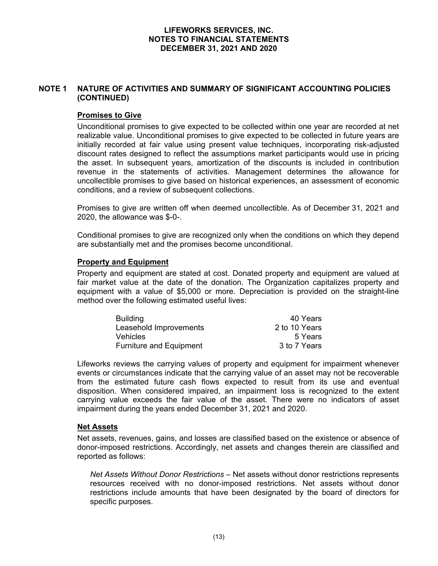# **NOTE 1 NATURE OF ACTIVITIES AND SUMMARY OF SIGNIFICANT ACCOUNTING POLICIES (CONTINUED)**

### **Promises to Give**

Unconditional promises to give expected to be collected within one year are recorded at net realizable value. Unconditional promises to give expected to be collected in future years are initially recorded at fair value using present value techniques, incorporating risk-adjusted discount rates designed to reflect the assumptions market participants would use in pricing the asset. In subsequent years, amortization of the discounts is included in contribution revenue in the statements of activities. Management determines the allowance for uncollectible promises to give based on historical experiences, an assessment of economic conditions, and a review of subsequent collections.

Promises to give are written off when deemed uncollectible. As of December 31, 2021 and 2020, the allowance was \$-0-.

Conditional promises to give are recognized only when the conditions on which they depend are substantially met and the promises become unconditional.

#### **Property and Equipment**

Property and equipment are stated at cost. Donated property and equipment are valued at fair market value at the date of the donation. The Organization capitalizes property and equipment with a value of \$5,000 or more. Depreciation is provided on the straight-line method over the following estimated useful lives:

| <b>Building</b>                | 40 Years      |
|--------------------------------|---------------|
| Leasehold Improvements         | 2 to 10 Years |
| <b>Vehicles</b>                | 5 Years       |
| <b>Furniture and Equipment</b> | 3 to 7 Years  |

Lifeworks reviews the carrying values of property and equipment for impairment whenever events or circumstances indicate that the carrying value of an asset may not be recoverable from the estimated future cash flows expected to result from its use and eventual disposition. When considered impaired, an impairment loss is recognized to the extent carrying value exceeds the fair value of the asset. There were no indicators of asset impairment during the years ended December 31, 2021 and 2020.

#### **Net Assets**

Net assets, revenues, gains, and losses are classified based on the existence or absence of donor-imposed restrictions. Accordingly, net assets and changes therein are classified and reported as follows:

*Net Assets Without Donor Restrictions* – Net assets without donor restrictions represents resources received with no donor-imposed restrictions. Net assets without donor restrictions include amounts that have been designated by the board of directors for specific purposes.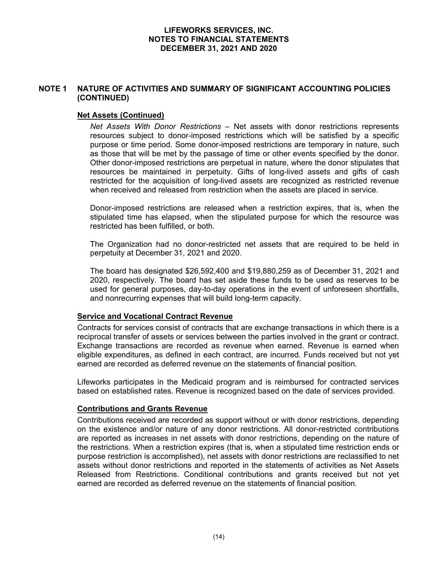## **NOTE 1 NATURE OF ACTIVITIES AND SUMMARY OF SIGNIFICANT ACCOUNTING POLICIES (CONTINUED)**

### **Net Assets (Continued)**

*Net Assets With Donor Restrictions* – Net assets with donor restrictions represents resources subject to donor-imposed restrictions which will be satisfied by a specific purpose or time period. Some donor-imposed restrictions are temporary in nature, such as those that will be met by the passage of time or other events specified by the donor. Other donor-imposed restrictions are perpetual in nature, where the donor stipulates that resources be maintained in perpetuity. Gifts of long-lived assets and gifts of cash restricted for the acquisition of long-lived assets are recognized as restricted revenue when received and released from restriction when the assets are placed in service.

Donor-imposed restrictions are released when a restriction expires, that is, when the stipulated time has elapsed, when the stipulated purpose for which the resource was restricted has been fulfilled, or both.

The Organization had no donor-restricted net assets that are required to be held in perpetuity at December 31, 2021 and 2020.

The board has designated \$26,592,400 and \$19,880,259 as of December 31, 2021 and 2020, respectively. The board has set aside these funds to be used as reserves to be used for general purposes, day-to-day operations in the event of unforeseen shortfalls, and nonrecurring expenses that will build long-term capacity.

#### **Service and Vocational Contract Revenue**

Contracts for services consist of contracts that are exchange transactions in which there is a reciprocal transfer of assets or services between the parties involved in the grant or contract. Exchange transactions are recorded as revenue when earned. Revenue is earned when eligible expenditures, as defined in each contract, are incurred. Funds received but not yet earned are recorded as deferred revenue on the statements of financial position.

Lifeworks participates in the Medicaid program and is reimbursed for contracted services based on established rates. Revenue is recognized based on the date of services provided.

### **Contributions and Grants Revenue**

Contributions received are recorded as support without or with donor restrictions, depending on the existence and/or nature of any donor restrictions. All donor-restricted contributions are reported as increases in net assets with donor restrictions, depending on the nature of the restrictions. When a restriction expires (that is, when a stipulated time restriction ends or purpose restriction is accomplished), net assets with donor restrictions are reclassified to net assets without donor restrictions and reported in the statements of activities as Net Assets Released from Restrictions. Conditional contributions and grants received but not yet earned are recorded as deferred revenue on the statements of financial position.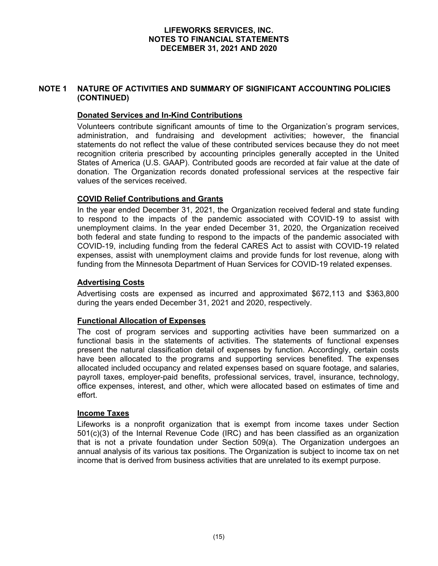### **NOTE 1 NATURE OF ACTIVITIES AND SUMMARY OF SIGNIFICANT ACCOUNTING POLICIES (CONTINUED)**

### **Donated Services and In-Kind Contributions**

Volunteers contribute significant amounts of time to the Organization's program services, administration, and fundraising and development activities; however, the financial statements do not reflect the value of these contributed services because they do not meet recognition criteria prescribed by accounting principles generally accepted in the United States of America (U.S. GAAP). Contributed goods are recorded at fair value at the date of donation. The Organization records donated professional services at the respective fair values of the services received.

### **COVID Relief Contributions and Grants**

In the year ended December 31, 2021, the Organization received federal and state funding to respond to the impacts of the pandemic associated with COVID-19 to assist with unemployment claims. In the year ended December 31, 2020, the Organization received both federal and state funding to respond to the impacts of the pandemic associated with COVID-19, including funding from the federal CARES Act to assist with COVID-19 related expenses, assist with unemployment claims and provide funds for lost revenue, along with funding from the Minnesota Department of Huan Services for COVID-19 related expenses.

### **Advertising Costs**

Advertising costs are expensed as incurred and approximated \$672,113 and \$363,800 during the years ended December 31, 2021 and 2020, respectively.

### **Functional Allocation of Expenses**

The cost of program services and supporting activities have been summarized on a functional basis in the statements of activities. The statements of functional expenses present the natural classification detail of expenses by function. Accordingly, certain costs have been allocated to the programs and supporting services benefited. The expenses allocated included occupancy and related expenses based on square footage, and salaries, payroll taxes, employer-paid benefits, professional services, travel, insurance, technology, office expenses, interest, and other, which were allocated based on estimates of time and effort.

#### **Income Taxes**

Lifeworks is a nonprofit organization that is exempt from income taxes under Section 501(c)(3) of the Internal Revenue Code (IRC) and has been classified as an organization that is not a private foundation under Section 509(a). The Organization undergoes an annual analysis of its various tax positions. The Organization is subject to income tax on net income that is derived from business activities that are unrelated to its exempt purpose.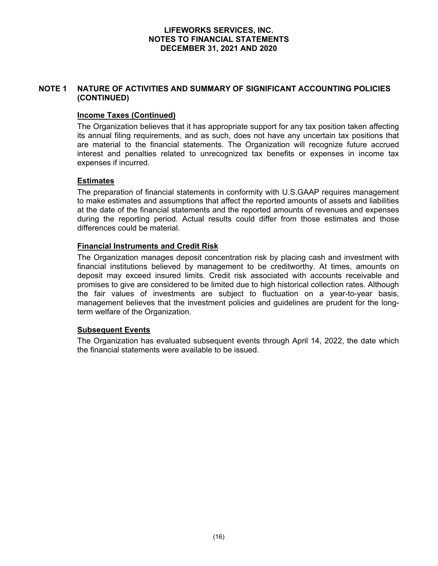### **NOTE 1 NATURE OF ACTIVITIES AND SUMMARY OF SIGNIFICANT ACCOUNTING POLICIES (CONTINUED)**

### **Income Taxes (Continued)**

The Organization believes that it has appropriate support for any tax position taken affecting its annual filing requirements, and as such, does not have any uncertain tax positions that are material to the financial statements. The Organization will recognize future accrued interest and penalties related to unrecognized tax benefits or expenses in income tax expenses if incurred.

### **Estimates**

The preparation of financial statements in conformity with U.S.GAAP requires management to make estimates and assumptions that affect the reported amounts of assets and liabilities at the date of the financial statements and the reported amounts of revenues and expenses during the reporting period. Actual results could differ from those estimates and those differences could be material.

### **Financial Instruments and Credit Risk**

The Organization manages deposit concentration risk by placing cash and investment with financial institutions believed by management to be creditworthy. At times, amounts on deposit may exceed insured limits. Credit risk associated with accounts receivable and promises to give are considered to be limited due to high historical collection rates. Although the fair values of investments are subject to fluctuation on a year-to-year basis, management believes that the investment policies and guidelines are prudent for the longterm welfare of the Organization.

### **Subsequent Events**

The Organization has evaluated subsequent events through April 14, 2022, the date which the financial statements were available to be issued.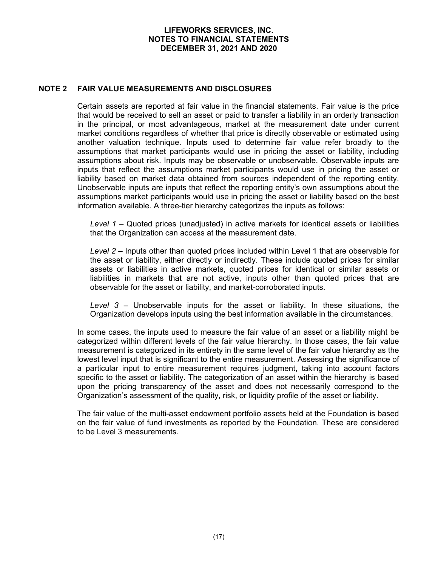#### **NOTE 2 FAIR VALUE MEASUREMENTS AND DISCLOSURES**

Certain assets are reported at fair value in the financial statements. Fair value is the price that would be received to sell an asset or paid to transfer a liability in an orderly transaction in the principal, or most advantageous, market at the measurement date under current market conditions regardless of whether that price is directly observable or estimated using another valuation technique. Inputs used to determine fair value refer broadly to the assumptions that market participants would use in pricing the asset or liability, including assumptions about risk. Inputs may be observable or unobservable. Observable inputs are inputs that reflect the assumptions market participants would use in pricing the asset or liability based on market data obtained from sources independent of the reporting entity. Unobservable inputs are inputs that reflect the reporting entity's own assumptions about the assumptions market participants would use in pricing the asset or liability based on the best information available. A three-tier hierarchy categorizes the inputs as follows:

*Level 1* – Quoted prices (unadjusted) in active markets for identical assets or liabilities that the Organization can access at the measurement date.

*Level 2 –* Inputs other than quoted prices included within Level 1 that are observable for the asset or liability, either directly or indirectly. These include quoted prices for similar assets or liabilities in active markets, quoted prices for identical or similar assets or liabilities in markets that are not active, inputs other than quoted prices that are observable for the asset or liability, and market-corroborated inputs.

*Level 3 –* Unobservable inputs for the asset or liability. In these situations, the Organization develops inputs using the best information available in the circumstances.

In some cases, the inputs used to measure the fair value of an asset or a liability might be categorized within different levels of the fair value hierarchy. In those cases, the fair value measurement is categorized in its entirety in the same level of the fair value hierarchy as the lowest level input that is significant to the entire measurement. Assessing the significance of a particular input to entire measurement requires judgment, taking into account factors specific to the asset or liability. The categorization of an asset within the hierarchy is based upon the pricing transparency of the asset and does not necessarily correspond to the Organization's assessment of the quality, risk, or liquidity profile of the asset or liability.

The fair value of the multi-asset endowment portfolio assets held at the Foundation is based on the fair value of fund investments as reported by the Foundation. These are considered to be Level 3 measurements.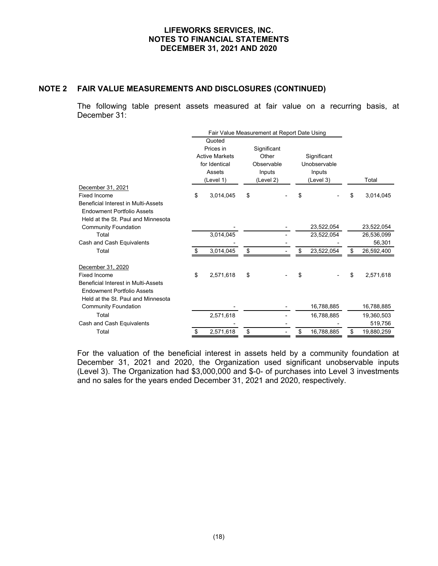### **NOTE 2 FAIR VALUE MEASUREMENTS AND DISCLOSURES (CONTINUED)**

The following table present assets measured at fair value on a recurring basis, at December 31:

|                                     | Fair Value Measurement at Report Date Using |             |                  |                  |
|-------------------------------------|---------------------------------------------|-------------|------------------|------------------|
|                                     | Quoted                                      |             |                  |                  |
|                                     | Prices in                                   | Significant |                  |                  |
|                                     | <b>Active Markets</b>                       | Other       | Significant      |                  |
|                                     | for Identical                               | Observable  | Unobservable     |                  |
|                                     | Assets                                      | Inputs      | Inputs           |                  |
|                                     | (Level 1)                                   | (Level 2)   | (Level 3)        | Total            |
| December 31, 2021                   |                                             |             |                  |                  |
| Fixed Income                        | \$<br>3,014,045                             | \$          | \$               | \$<br>3,014,045  |
| Beneficial Interest in Multi-Assets |                                             |             |                  |                  |
| <b>Endowment Portfolio Assets</b>   |                                             |             |                  |                  |
| Held at the St. Paul and Minnesota  |                                             |             |                  |                  |
| <b>Community Foundation</b>         |                                             |             | 23,522,054       | 23,522,054       |
| Total                               | 3,014,045                                   |             | 23,522,054       | 26,536,099       |
| Cash and Cash Equivalents           |                                             |             |                  | 56,301           |
| Total                               | \$<br>3,014,045                             | \$          | \$<br>23,522,054 | \$<br>26,592,400 |
| December 31, 2020                   |                                             |             |                  |                  |
| Fixed Income                        | \$<br>2,571,618                             | \$          | \$               | \$<br>2,571,618  |
| Beneficial Interest in Multi-Assets |                                             |             |                  |                  |
| <b>Endowment Portfolio Assets</b>   |                                             |             |                  |                  |
| Held at the St. Paul and Minnesota  |                                             |             |                  |                  |
| <b>Community Foundation</b>         |                                             |             | 16,788,885       | 16,788,885       |
| Total                               | 2,571,618                                   |             | 16,788,885       | 19,360,503       |
| Cash and Cash Equivalents           |                                             |             |                  | 519,756          |
| Total                               | \$<br>2,571,618                             | \$          | \$<br>16,788,885 | \$<br>19,880,259 |

For the valuation of the beneficial interest in assets held by a community foundation at December 31, 2021 and 2020, the Organization used significant unobservable inputs (Level 3). The Organization had \$3,000,000 and \$-0- of purchases into Level 3 investments and no sales for the years ended December 31, 2021 and 2020, respectively.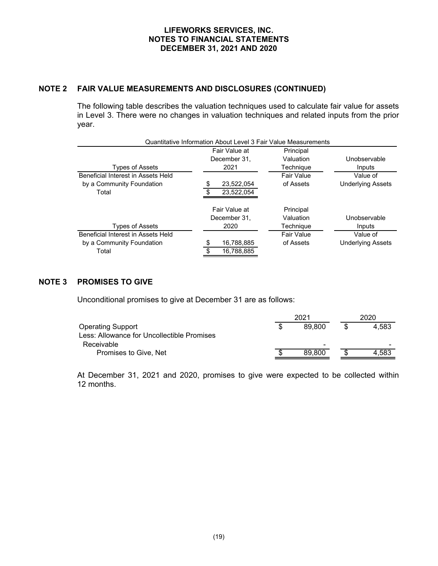### **NOTE 2 FAIR VALUE MEASUREMENTS AND DISCLOSURES (CONTINUED)**

The following table describes the valuation techniques used to calculate fair value for assets in Level 3. There were no changes in valuation techniques and related inputs from the prior year.

|                                    | Quantitative Information About Level 3 Fair Value Measurements |            |                          |
|------------------------------------|----------------------------------------------------------------|------------|--------------------------|
|                                    | Fair Value at                                                  | Principal  |                          |
|                                    | December 31,                                                   | Valuation  | Unobservable             |
| <b>Types of Assets</b>             | 2021                                                           | Technique  | Inputs                   |
| Beneficial Interest in Assets Held |                                                                | Fair Value | Value of                 |
| by a Community Foundation          | 23,522,054                                                     | of Assets  | <b>Underlying Assets</b> |
| Total                              | 23.522.054                                                     |            |                          |
|                                    | Fair Value at                                                  | Principal  |                          |
|                                    | December 31,                                                   | Valuation  | Unobservable             |
| <b>Types of Assets</b>             | 2020                                                           | Technique  | Inputs                   |
| Beneficial Interest in Assets Held |                                                                | Fair Value | Value of                 |
| by a Community Foundation          | 16,788,885                                                     | of Assets  | <b>Underlying Assets</b> |
| Total                              | 16,788,885                                                     |            |                          |

### **NOTE 3 PROMISES TO GIVE**

Unconditional promises to give at December 31 are as follows:

|                                            | 2021                     |  |       |
|--------------------------------------------|--------------------------|--|-------|
| <b>Operating Support</b>                   | 89.800                   |  | 4.583 |
| Less: Allowance for Uncollectible Promises |                          |  |       |
| Receivable                                 | $\overline{\phantom{0}}$ |  | -     |
| Promises to Give, Net                      | 89,800                   |  | 4.583 |

At December 31, 2021 and 2020, promises to give were expected to be collected within 12 months.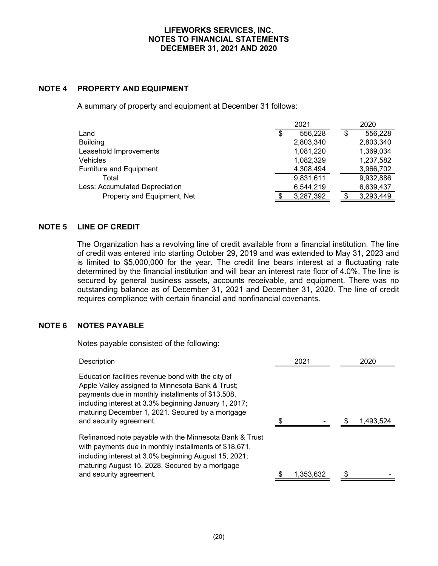### **NOTE 4 PROPERTY AND EQUIPMENT**

A summary of property and equipment at December 31 follows:

|                                | 2021 |           | 2020          |
|--------------------------------|------|-----------|---------------|
| Land                           | \$   | 556,228   | \$<br>556,228 |
| <b>Building</b>                |      | 2,803,340 | 2,803,340     |
| Leasehold Improvements         |      | 1,081,220 | 1,369,034     |
| <b>Vehicles</b>                |      | 1,082,329 | 1,237,582     |
| Furniture and Equipment        |      | 4,308,494 | 3,966,702     |
| Total                          |      | 9,831,611 | 9,932,886     |
| Less: Accumulated Depreciation |      | 6,544,219 | 6,639,437     |
| Property and Equipment, Net    |      | 3,287,392 | 3,293,449     |

### **NOTE 5 LINE OF CREDIT**

The Organization has a revolving line of credit available from a financial institution. The line of credit was entered into starting October 29, 2019 and was extended to May 31, 2023 and is limited to \$5,000,000 for the year. The credit line bears interest at a fluctuating rate determined by the financial institution and will bear an interest rate floor of 4.0%. The line is secured by general business assets, accounts receivable, and equipment. There was no outstanding balance as of December 31, 2021 and December 31, 2020. The line of credit requires compliance with certain financial and nonfinancial covenants.

### **NOTE 6 NOTES PAYABLE**

Notes payable consisted of the following:

| Description                                                                                                                                                                                                                                                                                         | 2021      | 2020      |
|-----------------------------------------------------------------------------------------------------------------------------------------------------------------------------------------------------------------------------------------------------------------------------------------------------|-----------|-----------|
| Education facilities revenue bond with the city of<br>Apple Valley assigned to Minnesota Bank & Trust;<br>payments due in monthly installments of \$13,508,<br>including interest at 3.3% beginning January 1, 2017;<br>maturing December 1, 2021. Secured by a mortgage<br>and security agreement. |           | 1,493,524 |
| Refinanced note payable with the Minnesota Bank & Trust<br>with payments due in monthly installments of \$18,671,<br>including interest at 3.0% beginning August 15, 2021;<br>maturing August 15, 2028. Secured by a mortgage<br>and security agreement.                                            | 1,353,632 |           |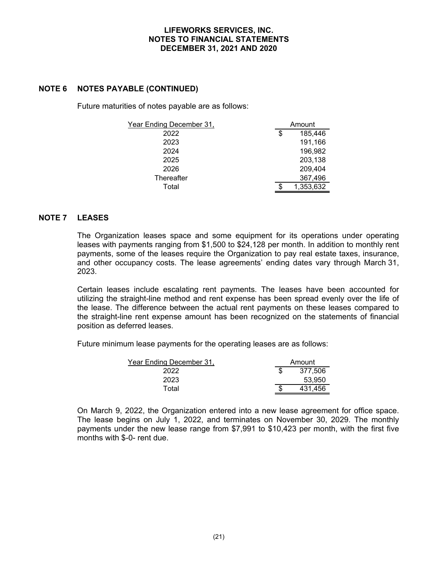### **NOTE 6 NOTES PAYABLE (CONTINUED)**

Future maturities of notes payable are as follows:

| Year Ending December 31, | Amount        |  |  |
|--------------------------|---------------|--|--|
| 2022                     | \$<br>185,446 |  |  |
| 2023                     | 191,166       |  |  |
| 2024                     | 196,982       |  |  |
| 2025                     | 203,138       |  |  |
| 2026                     | 209,404       |  |  |
| Thereafter               | 367,496       |  |  |
| Total                    | 1,353,632     |  |  |

### **NOTE 7 LEASES**

The Organization leases space and some equipment for its operations under operating leases with payments ranging from \$1,500 to \$24,128 per month. In addition to monthly rent payments, some of the leases require the Organization to pay real estate taxes, insurance, and other occupancy costs. The lease agreements' ending dates vary through March 31, 2023.

Certain leases include escalating rent payments. The leases have been accounted for utilizing the straight-line method and rent expense has been spread evenly over the life of the lease. The difference between the actual rent payments on these leases compared to the straight-line rent expense amount has been recognized on the statements of financial position as deferred leases.

Future minimum lease payments for the operating leases are as follows:

| Year Ending December 31, | Amount  |  |  |
|--------------------------|---------|--|--|
| 2022                     | 377.506 |  |  |
| 2023                     | 53,950  |  |  |
| Total                    | 431.456 |  |  |

On March 9, 2022, the Organization entered into a new lease agreement for office space. The lease begins on July 1, 2022, and terminates on November 30, 2029. The monthly payments under the new lease range from \$7,991 to \$10,423 per month, with the first five months with \$-0- rent due.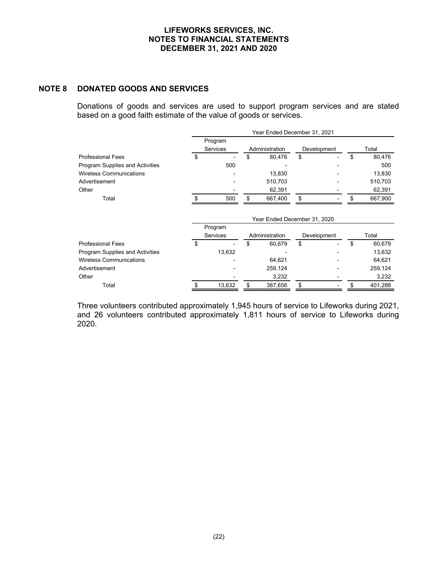### **NOTE 8 DONATED GOODS AND SERVICES**

Donations of goods and services are used to support program services and are stated based on a good faith estimate of the value of goods or services.

|                                 | Year Ended December 31, 2021 |                 |    |                              |    |             |               |
|---------------------------------|------------------------------|-----------------|----|------------------------------|----|-------------|---------------|
|                                 |                              | Program         |    |                              |    |             |               |
|                                 |                              | Services        |    | Administration               |    | Development | Total         |
| <b>Professional Fees</b>        | \$                           |                 | \$ | 80,476                       | \$ |             | \$<br>80,476  |
| Program Supplies and Activities |                              | 500             |    |                              |    |             | 500           |
| <b>Wireless Communications</b>  |                              |                 |    | 13,830                       |    |             | 13,830        |
| Advertisement                   |                              |                 |    | 510,703                      |    |             | 510,703       |
| Other                           |                              |                 |    | 62,391                       |    |             | 62,391        |
| Total                           | \$                           | 500             | \$ | 667,400                      | \$ |             | \$<br>667,900 |
|                                 |                              | Program         |    | Year Ended December 31, 2020 |    |             |               |
|                                 |                              | <b>Services</b> |    | Administration               |    | Development | Total         |
| <b>Professional Fees</b>        | \$                           |                 | \$ | 60,679                       | \$ |             | \$<br>60,679  |
| Program Supplies and Activities |                              | 13,632          |    |                              |    |             | 13,632        |
| <b>Wireless Communications</b>  |                              |                 |    | 64,621                       |    |             | 64,621        |
| Advertisement                   |                              |                 |    | 259,124                      |    |             | 259,124       |
| Other                           |                              |                 |    | 3,232                        |    |             | 3,232         |
| Total                           | \$                           | 13,632          | \$ | 387,656                      | \$ |             | \$<br>401,288 |

Three volunteers contributed approximately 1,945 hours of service to Lifeworks during 2021, and 26 volunteers contributed approximately 1,811 hours of service to Lifeworks during 2020.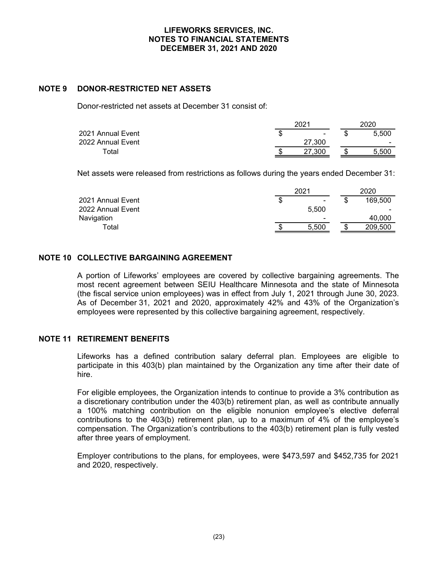### **NOTE 9 DONOR-RESTRICTED NET ASSETS**

Donor-restricted net assets at December 31 consist of:

|                   |     | 2021   |       |  |  |
|-------------------|-----|--------|-------|--|--|
| 2021 Annual Event | ۰D. | $\sim$ | 5.500 |  |  |
| 2022 Annual Event |     | 27.300 | -     |  |  |
| Total             |     | .300   | 5.50C |  |  |

Net assets were released from restrictions as follows during the years ended December 31:

|                   | 2021                     |   | 2020    |  |  |
|-------------------|--------------------------|---|---------|--|--|
| 2021 Annual Event | $\sim$                   |   | 169,500 |  |  |
| 2022 Annual Event | 5.500                    |   |         |  |  |
| Navigation        | $\overline{\phantom{0}}$ |   | 40.000  |  |  |
| Total             | 5.500                    | w | 209,500 |  |  |

### **NOTE 10 COLLECTIVE BARGAINING AGREEMENT**

A portion of Lifeworks' employees are covered by collective bargaining agreements. The most recent agreement between SEIU Healthcare Minnesota and the state of Minnesota (the fiscal service union employees) was in effect from July 1, 2021 through June 30, 2023. As of December 31, 2021 and 2020, approximately 42% and 43% of the Organization's employees were represented by this collective bargaining agreement, respectively.

### **NOTE 11 RETIREMENT BENEFITS**

Lifeworks has a defined contribution salary deferral plan. Employees are eligible to participate in this 403(b) plan maintained by the Organization any time after their date of hire.

For eligible employees, the Organization intends to continue to provide a 3% contribution as a discretionary contribution under the 403(b) retirement plan, as well as contribute annually a 100% matching contribution on the eligible nonunion employee's elective deferral contributions to the 403(b) retirement plan, up to a maximum of 4% of the employee's compensation. The Organization's contributions to the 403(b) retirement plan is fully vested after three years of employment.

Employer contributions to the plans, for employees, were \$473,597 and \$452,735 for 2021 and 2020, respectively.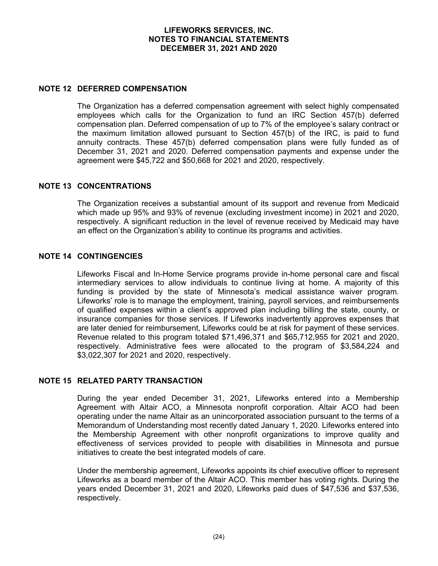#### **NOTE 12 DEFERRED COMPENSATION**

The Organization has a deferred compensation agreement with select highly compensated employees which calls for the Organization to fund an IRC Section 457(b) deferred compensation plan. Deferred compensation of up to 7% of the employee's salary contract or the maximum limitation allowed pursuant to Section 457(b) of the IRC, is paid to fund annuity contracts. These 457(b) deferred compensation plans were fully funded as of December 31, 2021 and 2020. Deferred compensation payments and expense under the agreement were \$45,722 and \$50,668 for 2021 and 2020, respectively.

### **NOTE 13 CONCENTRATIONS**

The Organization receives a substantial amount of its support and revenue from Medicaid which made up 95% and 93% of revenue (excluding investment income) in 2021 and 2020, respectively. A significant reduction in the level of revenue received by Medicaid may have an effect on the Organization's ability to continue its programs and activities.

### **NOTE 14 CONTINGENCIES**

Lifeworks Fiscal and In-Home Service programs provide in-home personal care and fiscal intermediary services to allow individuals to continue living at home. A majority of this funding is provided by the state of Minnesota's medical assistance waiver program. Lifeworks' role is to manage the employment, training, payroll services, and reimbursements of qualified expenses within a client's approved plan including billing the state, county, or insurance companies for those services. If Lifeworks inadvertently approves expenses that are later denied for reimbursement, Lifeworks could be at risk for payment of these services. Revenue related to this program totaled \$71,496,371 and \$65,712,955 for 2021 and 2020, respectively. Administrative fees were allocated to the program of \$3,584,224 and \$3,022,307 for 2021 and 2020, respectively.

#### **NOTE 15 RELATED PARTY TRANSACTION**

During the year ended December 31, 2021, Lifeworks entered into a Membership Agreement with Altair ACO, a Minnesota nonprofit corporation. Altair ACO had been operating under the name Altair as an unincorporated association pursuant to the terms of a Memorandum of Understanding most recently dated January 1, 2020. Lifeworks entered into the Membership Agreement with other nonprofit organizations to improve quality and effectiveness of services provided to people with disabilities in Minnesota and pursue initiatives to create the best integrated models of care.

Under the membership agreement, Lifeworks appoints its chief executive officer to represent Lifeworks as a board member of the Altair ACO. This member has voting rights. During the years ended December 31, 2021 and 2020, Lifeworks paid dues of \$47,536 and \$37,536, respectively.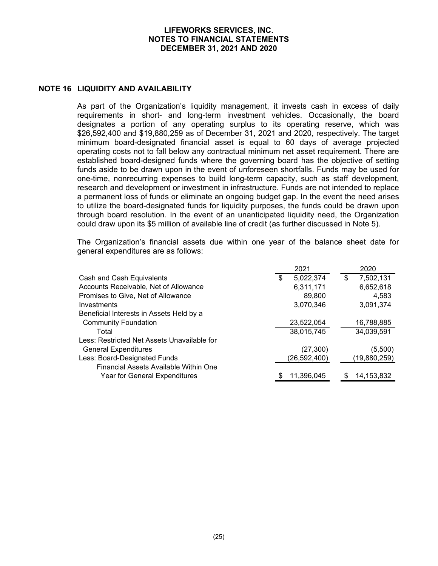#### **NOTE 16 LIQUIDITY AND AVAILABILITY**

As part of the Organization's liquidity management, it invests cash in excess of daily requirements in short- and long-term investment vehicles. Occasionally, the board designates a portion of any operating surplus to its operating reserve, which was \$26,592,400 and \$19,880,259 as of December 31, 2021 and 2020, respectively. The target minimum board-designated financial asset is equal to 60 days of average projected operating costs not to fall below any contractual minimum net asset requirement. There are established board-designed funds where the governing board has the objective of setting funds aside to be drawn upon in the event of unforeseen shortfalls. Funds may be used for one-time, nonrecurring expenses to build long-term capacity, such as staff development, research and development or investment in infrastructure. Funds are not intended to replace a permanent loss of funds or eliminate an ongoing budget gap. In the event the need arises to utilize the board-designated funds for liquidity purposes, the funds could be drawn upon through board resolution. In the event of an unanticipated liquidity need, the Organization could draw upon its \$5 million of available line of credit (as further discussed in Note 5).

The Organization's financial assets due within one year of the balance sheet date for general expenditures are as follows:

|                                             | 2021            | 2020            |
|---------------------------------------------|-----------------|-----------------|
| Cash and Cash Equivalents                   | \$<br>5,022,374 | \$<br>7,502,131 |
| Accounts Receivable, Net of Allowance       | 6,311,171       | 6,652,618       |
| Promises to Give, Net of Allowance          | 89,800          | 4,583           |
| Investments                                 | 3,070,346       | 3,091,374       |
| Beneficial Interests in Assets Held by a    |                 |                 |
| <b>Community Foundation</b>                 | 23,522,054      | 16,788,885      |
| Total                                       | 38,015,745      | 34,039,591      |
| Less: Restricted Net Assets Unavailable for |                 |                 |
| <b>General Expenditures</b>                 | (27, 300)       | (5,500)         |
| Less: Board-Designated Funds                | (26,592,400)    | (19,880,259)    |
| Financial Assets Available Within One       |                 |                 |
| Year for General Expenditures               | 11,396,045      | 14, 153, 832    |